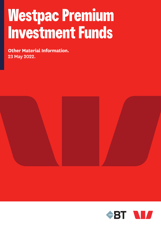# **Westpac Premium Investment Funds**

**Other Material Information.** 23 May 2022.



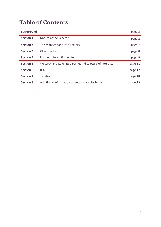## **Table of Contents**

| <b>Background</b> |                                                           | page 2  |
|-------------------|-----------------------------------------------------------|---------|
| <b>Section 1</b>  | Nature of the Scheme                                      | page 2  |
| <b>Section 2</b>  | The Manager and its directors                             | page 7  |
| <b>Section 3</b>  | Other parties                                             | page 8  |
| <b>Section 4</b>  | Further information on fees                               | page 9  |
| <b>Section 5</b>  | Westpac and its related parties - disclosure of interests | page 11 |
| <b>Section 6</b>  | <b>Risks</b>                                              | page 12 |
| <b>Section 7</b>  | <b>Taxation</b>                                           | page 18 |
| <b>Section 8</b>  | Additional information on returns for the funds           | page 19 |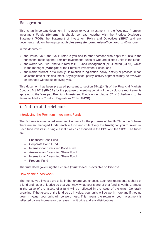## Background

This is an important document in relation to your investment in the Westpac Premium Investment Funds (**Scheme**). It should be read together with the Product Disclosure Statement (**PDS**), the Statement of Investment Policy and Objectives (**SIPO**) and any documents held on the register at **disclose-register.companiesoffice.govt.nz** (**Disclose**)**.**

In this document:

- the words "you" and "your" refer to you and to other persons who apply for units in the funds that make up the Premium Investment Funds or who are allotted units in the funds;
- the words "we", "us", and "our" refer to BT Funds Management (NZ) Limited (**BTNZ**), which is the manager (**Manager**) of the Premium Investment Funds; and
- the words "current" or "currently", in relation to legislation, policy, activity or practice, mean as at the date of this document. Any legislation, policy, activity or practice may be reviewed or changed without us notifying you.

This document has been prepared pursuant to section 57(1)(b)(ii) of the Financial Markets Conduct Act 2013 (**FMCA**) for the purpose of meeting certain of the disclosure requirements applying to the Westpac Premium Investment Funds under clause 52 of Schedule 4 to the Financial Markets Conduct Regulations 2014 (**FMCR**).

## 1. Nature of the Scheme

#### Introducing the Premium Investment Funds

The Scheme is a managed investment scheme for the purposes of the FMCA. In the Scheme there are six managed funds (each a **fund** and collectively the **funds**) for you to invest in. Each fund invests in a single asset class as described in the PDS and the SIPO. The funds are:

- Enhanced Cash Fund
- Corporate Bond Fund
- International Diversified Bond Fund
- Australasian Diversified Share Fund
- International Diversified Share Fund
- Property Fund

The trust deed governing the Scheme (**Trust Deed**) is available on Disclose.

#### How do the funds work?

The money you invest buys units in the fund(s) you choose. Each unit represents a share of a fund and has a unit price so that you know what your share of that fund is worth. Changes in the value of the assets of a fund will be reflected in the value of the units. Generally speaking, if the assets of the fund go up in value, your units will be worth more and if they go down in value, your units will be worth less. This means the return on your investment is reflected by any increase or decrease in unit price and any distributions.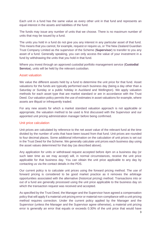Each unit in a fund has the same value as every other unit in that fund and represents an equal interest in the assets and liabilities of the fund.

The funds may issue any number of units that we choose. There is no maximum number of units that may be issued by a fund.

The units you hold in a fund do not give you any interest in any particular asset of that fund. This means that you cannot, for example, request or require us, or The New Zealand Guardian Trust Company Limited as the supervisor of the Scheme (**Supervisor**) to transfer to you any asset of a fund. Generally speaking, you can only access the value of your investment in a fund by withdrawing the units that you hold in that fund.

Where you invest through an approved custodial portfolio management service (**Custodial Service**), units will be held by the relevant custodian.

#### Asset valuation

We value the different assets held by a fund to determine the unit price for that fund. Asset valuations for the funds are typically performed each business day (being a day other than a Saturday or Sunday or a public holiday in Auckland and Wellington). We apply valuation methods for each asset type that are market standard or are in accordance with the Trust Deed. Our valuation policy permits the use of estimates in asset valuations for example, where assets are illiquid or infrequently traded.

For any new assets for which a market standard valuation approach is not applicable or appropriate, the valuation method to be used is first discussed with the Supervisor and our appointed unit pricing administration manager before being confirmed.

#### Unit price calculation

Unit prices are calculated by reference to the net asset value of the relevant fund at the time divided by the number of units that have been issued from that fund. Unit prices are rounded to four decimal places. Some additional information on the calculation of unit prices is set out in the Trust Deed for the Scheme. We generally calculate unit prices each business day using the asset values determined for that day (as described above).

Any application for units or withdrawal request accepted before 4pm on a business day (or such later time as we may accept) will, in normal circumstances, receive the unit price applicable for that business day. You can obtain the unit price applicable to any day by contacting us via the contact details in the PDS.

Our current policy is to calculate unit prices using the forward pricing method. The use of forward pricing is considered to be good market practice as it removes the arbitrage opportunities associated with the alternative (historical pricing) method. Transactions into or out of a fund are generally processed using the unit price applicable to the business day on which the transaction request was received and accepted.

As specified by the Trust Deed, the Manager and the Supervisor have agreed a compensation policy that will apply if a material unit pricing error or material non-compliance with a unit pricing method requires correction. Under the current policy applied by the Manager and the Supervisor (unless the Manager and the Supervisor agree otherwise), a material unit pricing error is generally an error that equals or exceeds 0.30% of the unit price that would have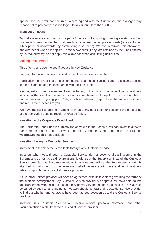applied had the error not occurred. Where agreed with the Supervisor, the Manager may choose not to pay compensation to you for an amount less than \$20.

#### **Transaction costs**

To make allowance for the cost (or part of the cost) of acquiring or selling assets for a fund (transaction costs), under the Trust Deed we can adjust the unit price upwards (by establishing a buy price) or downwards (by establishing a sell price). We can determine this allowance, and whether or when it is applied. These allowances (if any) are retained by the funds and not by us. We currently do not apply this allowance when calculating unit prices.

#### Making investments

This offer is only open to you if you are in New Zealand.

Further information on how to invest in the Scheme is set out in the PDS.

Application moneys are paid into a non-interest bearing bank account upon receipt and applied to the relevant fund(s) in accordance with the Trust Deed.

We may set a minimum investment amount for any of the funds. If the value of your investment falls below the specified minimum amount, you will be asked to top it up. If you are unable to do this, we can, on giving you 30 days' notice, redeem or repurchase the entire investment and return the proceeds to you.

We have the right to decline in whole, or in part, any application or postpone the processing of the application pending receipt of cleared funds.

#### **Investing in the Corporate Bond Fund**

The Corporate Bond Fund is currently the only fund in the Scheme you can invest in directly. For more information, or to invest into the Corporate Bond Fund, see the PDS on **westpac.co.nz/pif** or on Disclose.

#### **Investing through a Custodial Service**

Investment in the Scheme is available through any Custodial Service.

Investors who invest through a Custodial Service do not become direct investors in the Scheme and do not have a direct relationship with us or the Supervisor. Instead, the Custodial Service provider has the direct relationship with us and will be able to exercise any rights attached to units held on the investors' behalf. Investors will have a direct investment relationship with their Custodial Service provider.

A Custodial Service provider will have an agreement with its investors governing the terms of the custodial arrangement. Any Custodial Service provider we approve will have entered into an arrangement with us in respect of the Scheme. Any terms and conditions in the PDS may be varied by such an arrangement. Investors should contact their Custodial Service provider to find out whether any variations have been agreed between us and the Custodial Service provider.

Investors in a Custodial Service will receive reports, portfolio information and other documentation directly from their Custodial Service provider.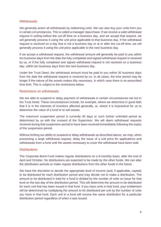#### **Withdrawals**

We generally action all withdrawals by redeeming units. We can also buy your units from you in certain circumstances. This is called a manager repurchase. If we receive a valid withdrawal request in writing before the cut-off time on a business day, and we accept that request, we will generally process it using the unit price applicable to that business day. If the withdrawal request is received on a day that is not a business day or at or after the cut-off time, we will generally process it using the unit price applicable to the next business day.

If we accept a withdrawal request, the withdrawal amount will generally be paid to you within ten business days from the date the fully completed and signed withdrawal request is received by us, or if the fully completed and signed withdrawal request is not received on a business day, within ten business days from the next business day.

Under the Trust Deed, the withdrawal amount must be paid to you within 30 business days from the date the withdrawal request is received by us. In all cases, the time period may be longer if the nature of the assets makes this necessary, in which case there is no prescribed time limit. This is subject to the restrictions below.

#### Restrictions on withdrawals

We are able to suspend or delay payment of withdrawals in certain circumstances set out in the Trust Deed. These circumstances include, for example, where we determine in good faith that it is in the interests of investors affected generally, or, where it is impractical for us to determine the value of a fund or to sell assets.

The maximum suspension period is currently 30 days or such further unlimited period as determined by us with the consent of the Supervisor. We will deem withdrawal requests received during that suspension period to have been received immediately following the expiry of the suspension period.

Without limiting our ability to suspend or delay withdrawals as described above, we may, when processing a large withdrawal request, delay the issue of a unit price for applications and withdrawals from a fund until the assets necessary to cover the withdrawal have been sold.

#### **Distributions**

The Corporate Bond Fund makes regular distributions on a 6-monthly basis, after the end of April and October. No distributions are expected to be made by the other funds. We can alter the distribution periods or make regular distributions from the other funds in the future.

We have the discretion to decide the appropriate level of income (and, if applicable, capital) to be distributed for each distribution period and may decide not to make a distribution. The amount to be distributed in total for a fund is divided by the number of units on issue for that fund on the last day of the distribution period. This will determine the amount to be distributed for each unit that has been issued in that fund. If you have units in that fund, your entitlement will be determined by multiplying the amount to be distributed per unit by the number of units you have in that fund. Each unit in a fund will receive the same distribution for a particular distribution period regardless of when it was issued.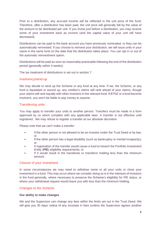Prior to a distribution, any accrued income will be reflected in the unit price of the fund. Therefore, after a distribution has been paid, the unit price will generally fall by the value of the amount to be distributed per unit. If you invest just before a distribution, you may receive some of your investment back as income (and the capital value of your unit will have decreased).

Distributions can be paid to the bank account you have previously nominated, or they can be automatically reinvested. If you choose to reinvest your distribution, we will issue units in your name in the same fund on the date that the distribution takes place. You can opt in or out of the automatic reinvestment option.

Distributions will be paid as soon as reasonably practicable following the end of the distribution period (generally within 4 weeks).

The tax treatment of distributions is set out in section 7.

#### Insolvency/wind-up

We may decide to wind up the Scheme or any fund at any time. If we, the Scheme, or any fund is liquidated or wound up, any creditor's claims will rank ahead of your claims, though your claims will rank equally with other investors in the relevant fund. If BTNZ or a fund become insolvent, you won't be liable to pay money to anyone.

#### Transferring units

You may apply to transfer your units to another person. Transfers must be made in a form approved by us which complies with any applicable laws. A transfer is not effective until registered. We may refuse to register a transfer at our absolute discretion.

Please note that we can't make a transfer:

- If the other person is not allowed to be an investor under the Trust Deed or by law; or
- If the other person has a legal disability (such as bankruptcy or mental incapacity); or
- If registration of the transfer would cause a fund to breach the Portfolio Investment Entity (**PIE**) eligibility requirements; or
- If it would result in the transferee or transferor holding less than the minimum amount.

#### Closure of your investment

In some circumstances we may need to withdraw some or all your units or close your investment in a fund. This may occur where we consider doing so is in the interests of investors in the fund generally, where necessary to preserve the Scheme's eligibility for PIE status, or where your withdrawal request would leave you with less than the minimum holding.

#### Changes to the Scheme

#### **Our ability to make changes**

We and the Supervisor can change any fees within the limits set out in the Trust Deed. We will give you 30 days' notice of any increase in fees (unless the Supervisor agrees another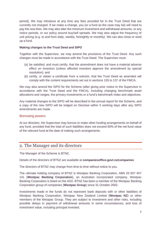period). We may introduce at any time any fees provided for in the Trust Deed that are currently not charged. If we make a change, you (or a fund as the case may be) will need to pay the new fees. We may also alter the minimum investment and withdrawal amounts, or any notice periods, or our policy around buy/sell spreads. We may also adjust the frequency of unit pricing (e.g. to and from daily, weekly, fortnightly or monthly). We can also close or wind up a fund.

#### **Making changes to the Trust Deed and SIPO**

Together with the Supervisor, we may amend the provisions of the Trust Deed. Any such changes must be made in accordance with the Trust Deed. The Supervisor must:

- (a) be satisfied, and must certify, that the amendment does not have a material adverse effect on investors (unless affected investors approve the amendment by special resolution); and
- (b) certify, or obtain a certificate from a solicitor, that the Trust Deed as amended will comply with the content requirements set out in sections 135 to 137 of the FMCA.

We may also amend the SIPO for the Scheme (after giving prior notice to the Supervisor in accordance with the Trust Deed and the FMCA), including changing benchmark asset allocations and ranges, the primary investments or a fund's benchmark index and objectives.

Any material changes to the SIPO will be described in the annual report for the Scheme, and a copy of the new SIPO will be lodged on Disclose within 5 working days after any SIPO amendments are made.

#### Borrowing powers

At our direction, the Supervisor may borrow or make other funding arrangements on behalf of any fund, provided that the total of such liabilities does not exceed 60% of the net fund value of the relevant fund at the date of making such arrangements.

## 2. The Manager and its directors

The Manager of the Scheme is BTNZ.

Details of the directors of BTNZ are available at **companiesoffice.govt.nz/companies**

The directors of BTNZ may change from time to time without notice to you.

The ultimate holding company of BTNZ is Westpac Banking Corporation, ABN 33 007 457 141 (**Westpac Banking Corporation**), an Australian incorporated company. Westpac Banking Corporation is listed on the ASX. BTNZ has been a member of the Westpac Banking Corporation group of companies (**Westpac Group**) since 31 October 2002.

Investments made in the funds do not represent bank deposits with or other liabilities of Westpac Banking Corporation, Westpac New Zealand Limited (**Westpac NZ**) or other members of the Westpac Group. They are subject to investment and other risks, including possible delays in payment of withdrawal amounts in some circumstances, and loss of investment value, including principal invested.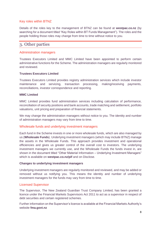#### Key roles within BTNZ

Details of the roles key to the management of BTNZ can be found at **[westpac.co.nz](http://www.westpac.co.nz/)** (by searching for a document titled "Key Roles within BT Funds Management"). The roles and the people holding those roles may change from time to time without notice to you.

## 3. Other parties

#### Administration managers

Trustees Executors Limited and MMC Limited have been appointed to perform certain administrative functions for the Scheme. The administration managers are regularly monitored and reviewed.

#### **Trustees Executors Limited**

Trustees Executors Limited provides registry administration services which include investor maintenance and servicing, transaction processing, making/receiving payments, reconciliations, investor correspondence and reporting.

#### **MMC Limited**

MMC Limited provides fund administration services including calculation of performance, reconciliation of security positions and bank accounts, trade matching and settlement, portfolio valuations, unit pricing and preparation of financial statements.

We may change the administration managers without notice to you. The identity and number of administration managers may vary from time to time.

#### Wholesale funds and underlying investment managers

Each fund in the Scheme invests in one or more wholesale funds, which are also managed by us (**Wholesale Funds**). Underlying investment managers (which may include BTNZ) manage the assets in the Wholesale Funds. This approach provides investment and operational efficiencies and gives us greater control of the overall cost to investors. The underlying investment managers we currently use, and the Wholesale Funds the funds invest in, are shown in the document titled "Other Material Information – Underlying Investment Managers" which is available on **[westpac.co.nz/](http://www.westpac.co.nz/)pif** and on Disclose.

#### **Changes to underlying investment managers**

Underlying investment managers are regularly monitored and reviewed, and may be added or removed without us notifying you. This means the identity and number of underlying investment managers for the funds may vary from time to time.

#### Licensed Supervisor

The Supervisor, The New Zealand Guardian Trust Company Limited, has been granted a licence under the Financial Markets Supervisors Act 2011 to act as a supervisor in respect of debt securities and certain registered schemes.

Further information on the Supervisor's licence is available at the Financial Markets Authority's website **[fma.govt.nz](https://www.fma.govt.nz/)**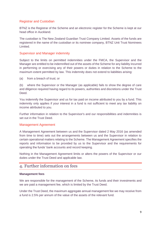#### Registrar and Custodian

BTNZ is the Registrar of the Scheme and an electronic register for the Scheme is kept at our head office in Auckland.

The custodian is The New Zealand Guardian Trust Company Limited. Assets of the funds are registered in the name of the custodian or its nominee company, BTNZ Unit Trust Nominees Limited.

#### Supervisor and Manager indemnity

Subject to the limits on permitted indemnities under the FMCA, the Supervisor and the Manager are entitled to be indemnified out of the assets of the Scheme for any liability incurred in performing or exercising any of their powers or duties in relation to the Scheme to the maximum extent permitted by law. This indemnity does not extend to liabilities arising:

(a) from a breach of trust; or

(b) where the Supervisor or the Manager (as applicable) fails to show the degree of care and diligence required having regard to its powers, authorities and discretions under the Trust Deed.

You indemnify the Supervisor and us for tax paid on income attributed to you by a fund. This indemnity only applies if your interest in a fund is not sufficient to meet any tax liability on income attributed to you.

Further information in relation to the Supervisor's and our responsibilities and indemnities is set out in the Trust Deed.

#### Management Agreement

A Management Agreement between us and the Supervisor dated 2 May 2016 (as amended from time to time) sets out the arrangements between us and the Supervisor in relation to certain operational matters relating to the Scheme. The Management Agreement specifies the reports and information to be provided by us to the Supervisor and the requirements for operating the funds' bank accounts and record keeping.

Nothing in the Management Agreement limits or alters the powers of the Supervisor or our duties under the Trust Deed and applicable law.

## 4. Further information on fees

#### **Management fees**

We are responsible for the management of the Scheme, its funds and their investments and we are paid a management fee, which is limited by the Trust Deed.

Under the Trust Deed, the maximum aggregate annual management fee we may receive from a fund is 2.5% per annum of the value of the assets of the relevant fund.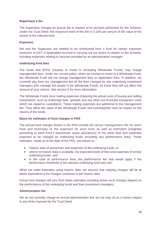#### **Supervisor's fee**

The Supervisor charges an annual fee in respect of its services performed for the Scheme. Under the Trust Deed, the maximum level of this fee is 0.10% per annum of the value of the assets of the relevant fund.

#### **Expenses**

We and the Supervisor are entitled to be reimbursed from a fund for certain expenses (inclusive of GST, if applicable) incurred in carrying out our duties in relation to the Scheme, including expenses relating to services provided by an administration manager.

#### **Underlying fund fees**

The funds that BTNZ chooses to invest in (including Wholesale Funds) may charge management fees. Under our current policy, when we choose to invest in a Wholesale Fund, the Wholesale Fund will not charge management fees or application fees. In addition, we currently pay from our management fee all the fees charged by any underlying investment managers who manage the assets in the Wholesale Funds, so those fees will not affect the amount of your returns. See section 5 for more information.

The Wholesale Funds incur trading expenses (meaning the actual costs of buying and selling investments, such as brokerage fees, spreads and any other out-of-pocket transaction costs which are repaid to custodians). These trading expenses are additional to the management fee. They affect the value of the Wholesale Funds and consequently have an impact on the returns of the funds.

#### **Basis for estimates of fund charges in PDS**

The annual fund charges shown in the PDS include the actual management fee for each fund and estimates of the expenses for each fund, as well as estimates (weighted according to each fund's benchmark asset allocations) of the other fees and expenses expected to be charged by underlying funds (including any performance fees). Those estimates, made as at the date of the PDS, are based on:

- historic data of actual fees and expenses of the underlying funds, or
- where no historic data is available, the expected levels of fees and expenses of similar underlying funds, and
- in the case of performance fees, the performance fee that would apply if the performance threshold of the relevant underlying fund was met.

When we make estimates using historic data, we assume that ongoing charges will be at levels equivalent to the charges contained in the historic data.

Actual fund charges will vary from these estimates including where such charges depend on the performance of the underlying funds and their investment managers.

#### **Administration fee**

We do not currently charge an annual administration fee, but we may do so in future subject to any limits imposed by the Trust Deed.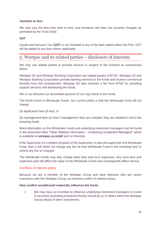#### **Variation to fees**

We may vary the fees from time to time, and introduce new fees not currently charged, as permitted by the Trust Deed.

#### **GST**

Goods and Services Tax (**GST**) is not included in any of the fees stated within the PDS. GST will be added to any fees where applicable.

## 5. Westpac and its related parties – disclosure of interests

We may use related parties to provide services in respect of the Scheme as summarised below.

Westpac NZ and Westpac Banking Corporation are related parties of BTNZ. Westpac NZ and Westpac Banking Corporation provide banking services to the funds and receive commercial benefits from this arrangement. Westpac NZ also receives a fee from BTNZ for providing support services and distributing the funds.

We or our directors (or associated persons of us) may invest in the funds.

The funds invest in Wholesale Funds. Our current policy is that the Wholesale Fund will not charge:

(a) application fees (if any); or

(b) management fees (or that if management fees are charged, they are rebated in full to the investing fund).

More information on the Wholesale Funds and underlying investment managers can be found in the document titled "Other Material Information – Underlying Investment Managers" which is available at **[westpac.co.nz/](http://www.westpac.co.nz/)pif** and on Disclose.

If the Supervisor (or a related company of the Supervisor) is also the supervisor of a Wholesale Fund, then it will either not charge any fee for that Wholesale Fund to the investing fund or refund any fee so charged.

The Wholesale Funds may also charge other fees and incur expenses. Any such fees and expenses paid will affect the value of the Wholesale Funds and consequently affect returns.

#### Conflicts of interest policy

Because we are a member of the Westpac Group and have directors who are senior executives with the Westpac Group, an inherent conflict of interest arises.

#### **How conflict would/could materially influence the funds**

We may have an incentive to influence underlying investment managers to invest in securities (including investment funds) issued by us or others within the Westpac Group ahead of other investments.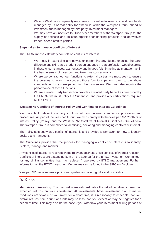- We or a Westpac Group entity may have an incentive to invest in investment funds managed by us or that entity (or otherwise within the Westpac Group) ahead of investment funds managed by third party investment managers.
- We may have an incentive to utilise other members of the Westpac Group for the supply of services and as counterparties for banking products and derivatives trades, ahead of third parties.

#### **Steps taken to manage conflicts of interest**

The FMCA imposes statutory controls on conflicts of interest:

- We must, in exercising any power, or performing any duties, exercise the care, diligence and skill that a prudent person engaged in that profession would exercise in those circumstances; act honestly and in good faith in acting as manager; act in the best interests of investors; and treat investors equitably.
- Where we contract out our functions to external parties, we must seek to ensure the persons to whom we contract those functions perform them to the above standards as if we were performing them ourselves. We must also monitor the performance of those functions.
- Where a related party transaction provides a related party benefit as prescribed by the FMCA, we must notify the Supervisor and provide any certifications required by the FMCA.

#### **Westpac NZ Conflicts of Interest Policy and Conflicts of Interest Guidelines**

We have built relevant statutory controls into our internal compliance processes and procedures. As part of the Westpac Group, we also comply with the Westpac NZ Conflicts of Interest Policy (**Policy**) and the Westpac NZ Conflicts of Interest Guidelines (**Guidelines**). The Westpac Group is committed to identifying, declaring and managing conflicts of interest.

The Policy sets out what a conflict of interest is and provides a framework for how to identify, declare and manage it.

The Guidelines provide that the process for managing a conflict of interest is to identify, declare, manage and monitor.

Any conflict of interest is recorded in the relevant business unit's conflicts of interest register. Conflicts of interest are a standing item on the agenda for the BTNZ Investment Committee (or any similar committee that may replace it) operated by BTNZ management. Further information on the BTNZ Investment Committee can be found in the SIPO on Disclose.

Westpac NZ has a separate policy and guidelines covering gifts and hospitality.

#### 6. Risks

**Main risks of investing:** The main risk is **investment risk** – the risk of negative or lower than expected returns on your investment. All investments have investment risk. If market conditions are volatile or you invest for a short time, it is reasonably foreseeable that your overall returns from a fund or funds may be less than you expect or may be negative for a period of time. This may also be the case if you withdraw your investment during periods of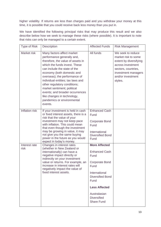higher volatility. If returns are less than charges paid and you withdraw your money at this time, it is possible that you could receive back less money than you put in.

We have identified the following principal risks that may produce this result and we also describe below how we seek to manage these risks (where possible). It is important to note that risks can only be managed to a certain extent.

| <b>Type of Risk</b>   | <b>Description</b>                                                                                                                                                                                                                                                                                                                                                                                                                           | <b>Affected Funds</b>                                                                                                                                                                                                        | <b>Risk Management</b>                                                                                                                                                |
|-----------------------|----------------------------------------------------------------------------------------------------------------------------------------------------------------------------------------------------------------------------------------------------------------------------------------------------------------------------------------------------------------------------------------------------------------------------------------------|------------------------------------------------------------------------------------------------------------------------------------------------------------------------------------------------------------------------------|-----------------------------------------------------------------------------------------------------------------------------------------------------------------------|
| Market risk           | Many factors affect market<br>performance generally and,<br>therefore, the value of assets in<br>which the funds invest. These<br>can include the state of the<br>economy (both domestic and<br>overseas); the performance of<br>individual entities; tax laws and<br>other regulatory conditions;<br>market sentiment; political<br>events; and broader occurrences<br>like changes in technology,<br>pandemics or environmental<br>events. | All funds                                                                                                                                                                                                                    | We seek to reduce<br>market risk to some<br>extent by diversifying<br>across investment<br>sectors, countries,<br>investment managers<br>and/or investment<br>styles. |
| Inflation risk        | If your investment is held in cash<br>or fixed interest assets, there is a<br>risk that the value of your<br>investment may not keep pace<br>with inflation. This could mean<br>that even though the investment<br>may be growing in value, it may<br>not give you the same buying<br>power in the future as you would<br>expect in today's money.                                                                                           | <b>Enhanced Cash</b><br>Fund<br><b>Corporate Bond</b><br>Fund<br>International<br><b>Diversified Bond</b><br>Fund                                                                                                            |                                                                                                                                                                       |
| Interest rate<br>risk | Changes in interest rates<br>(whether in New Zealand or<br>internationally) can have a<br>negative impact directly or<br>indirectly on your investment<br>value or returns. For example, an<br>increase in interest rates will<br>negatively impact the value of<br>fixed interest assets.                                                                                                                                                   | <b>More Affected</b><br><b>Enhanced Cash</b><br>Fund<br><b>Corporate Bond</b><br>Fund<br>International<br><b>Diversified Bond</b><br>Fund<br><b>Less Affected</b><br>Australasian<br><b>Diversified</b><br><b>Share Fund</b> |                                                                                                                                                                       |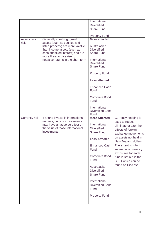|                      |                                                                   | International                 |                                               |
|----------------------|-------------------------------------------------------------------|-------------------------------|-----------------------------------------------|
|                      |                                                                   | <b>Diversified</b>            |                                               |
|                      |                                                                   | <b>Share Fund</b>             |                                               |
|                      |                                                                   |                               |                                               |
|                      |                                                                   | <b>Property Fund</b>          |                                               |
| Asset class          | Generally speaking, growth                                        | <b>More affected</b>          |                                               |
| risk                 | assets (such as equities and                                      |                               |                                               |
|                      | listed property) are more volatile                                | Australasian                  |                                               |
|                      | than income assets (such as                                       | <b>Diversified</b>            |                                               |
|                      | cash and fixed interest) and are                                  | <b>Share Fund</b>             |                                               |
|                      | more likely to give rise to<br>negative returns in the short term | International                 |                                               |
|                      |                                                                   | <b>Diversified</b>            |                                               |
|                      |                                                                   | <b>Share Fund</b>             |                                               |
|                      |                                                                   |                               |                                               |
|                      |                                                                   | <b>Property Fund</b>          |                                               |
|                      |                                                                   | <b>Less affected</b>          |                                               |
|                      |                                                                   | <b>Enhanced Cash</b>          |                                               |
|                      |                                                                   | Fund                          |                                               |
|                      |                                                                   | <b>Corporate Bond</b><br>Fund |                                               |
|                      |                                                                   |                               |                                               |
|                      |                                                                   | International                 |                                               |
|                      |                                                                   | <b>Diversified Bond</b>       |                                               |
|                      |                                                                   | Fund                          |                                               |
| <b>Currency risk</b> | If a fund invests in international                                | <b>More Affected</b>          | Currency hedging is                           |
|                      | markets, currency movements<br>may have an adverse effect on      | International                 | used to reduce,                               |
|                      | the value of those international                                  | <b>Diversified</b>            | eliminate or alter the                        |
|                      | investments.                                                      | <b>Share Fund</b>             | effects of foreign                            |
|                      |                                                                   |                               | exchange movements                            |
|                      |                                                                   | <b>Less Affected</b>          | on assets not held in<br>New Zealand dollars. |
|                      |                                                                   | <b>Enhanced Cash</b>          | The extent to which                           |
|                      |                                                                   | Fund                          | we manage currency                            |
|                      |                                                                   |                               | exposures for each                            |
|                      |                                                                   | <b>Corporate Bond</b>         | fund is set out in the                        |
|                      |                                                                   | Fund                          | SIPO which can be                             |
|                      |                                                                   | Australasian                  | found on Disclose.                            |
|                      |                                                                   | <b>Diversified</b>            |                                               |
|                      |                                                                   | <b>Share Fund</b>             |                                               |
|                      |                                                                   |                               |                                               |
|                      |                                                                   | International                 |                                               |
|                      |                                                                   | <b>Diversified Bond</b>       |                                               |
|                      |                                                                   | Fund                          |                                               |
|                      |                                                                   | <b>Property Fund</b>          |                                               |
|                      |                                                                   |                               |                                               |
|                      |                                                                   |                               |                                               |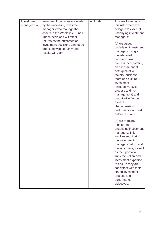| Investment   | Investment decisions are made  | All funds | To seek to manage      |
|--------------|--------------------------------|-----------|------------------------|
| manager risk | by the underlying investment   |           | this risk, where we    |
|              | managers who manage the        |           | delegate to external   |
|              | assets in the Wholesale Funds. |           | underlying investment  |
|              | These decisions will affect    |           | managers:              |
|              | returns as the outcomes of     |           |                        |
|              | investment decisions cannot be |           | (a) we select          |
|              | predicted with certainty and   |           | underlying investment  |
|              | results will vary.             |           | managers using a       |
|              |                                |           | multi-faceted          |
|              |                                |           | decision-making        |
|              |                                |           | process incorporating  |
|              |                                |           | an assessment of       |
|              |                                |           | both qualitative       |
|              |                                |           | factors (business,     |
|              |                                |           | team and culture,      |
|              |                                |           | investment             |
|              |                                |           | philosophy, style,     |
|              |                                |           | process and risk       |
|              |                                |           | management) and        |
|              |                                |           | quantitative factors   |
|              |                                |           | (portfolio             |
|              |                                |           | characteristics,       |
|              |                                |           | performance and risk   |
|              |                                |           | outcomes); and         |
|              |                                |           | (b) we regularly       |
|              |                                |           | monitor the            |
|              |                                |           | underlying investment  |
|              |                                |           | managers. This         |
|              |                                |           | involves monitoring    |
|              |                                |           | the investment         |
|              |                                |           | managers' return and   |
|              |                                |           | risk outcomes, as well |
|              |                                |           | as their portfolio     |
|              |                                |           | implementation and     |
|              |                                |           | investment expertise,  |
|              |                                |           | to ensure they are     |
|              |                                |           | consistent with their  |
|              |                                |           | stated investment      |
|              |                                |           | process and            |
|              |                                |           | performance            |
|              |                                |           | objectives.            |
|              |                                |           |                        |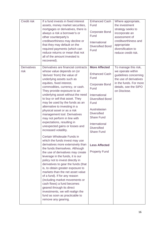| Credit risk                | If a fund invests in fixed interest<br>assets, money market securities,<br>mortgages or derivatives, there is<br>always a risk a borrower's or<br>other counterparty's<br>creditworthiness may decline or<br>that they may default on the<br>required payments (which can<br>reduce returns or mean that not<br>all of the amount invested is<br>recovered).                                                                                                                                                                                                                                                                                                                                                                                                                                                                                                                                                                                                                                                                                                                                                                                                    | <b>Enhanced Cash</b><br>Fund<br><b>Corporate Bond</b><br>Fund<br>International<br><b>Diversified Bond</b><br>Fund                                                                                                                                                                                                | Where appropriate,<br>the investment<br>strategy seeks to<br>incorporate an<br>assessment of<br>creditworthiness and<br>appropriate<br>diversification to<br>reduce credit risk. |
|----------------------------|-----------------------------------------------------------------------------------------------------------------------------------------------------------------------------------------------------------------------------------------------------------------------------------------------------------------------------------------------------------------------------------------------------------------------------------------------------------------------------------------------------------------------------------------------------------------------------------------------------------------------------------------------------------------------------------------------------------------------------------------------------------------------------------------------------------------------------------------------------------------------------------------------------------------------------------------------------------------------------------------------------------------------------------------------------------------------------------------------------------------------------------------------------------------|------------------------------------------------------------------------------------------------------------------------------------------------------------------------------------------------------------------------------------------------------------------------------------------------------------------|----------------------------------------------------------------------------------------------------------------------------------------------------------------------------------|
| <b>Derivatives</b><br>risk | Derivatives are financial contracts<br>whose value depends on (or<br>'derives' from) the value of<br>underlying assets such as<br>equities, fixed interest,<br>commodities, currency, or cash.<br>They provide exposure to an<br>underlying asset without the need<br>to buy or sell that asset. They<br>may be used by the funds as an<br>alternative to investing in a<br>physical asset or as a risk<br>management tool. Derivatives<br>may not perform in line with<br>expectations, resulting in<br>unexpected gains or losses and<br>increased volatility.<br>Certain Wholesale Funds in<br>which the funds invest may use<br>derivatives more extensively than<br>the funds themselves. Although<br>the use of derivatives may create<br>leverage in the funds, it is our<br>policy not to invest directly in<br>derivatives to gear the funds (that<br>is, to obtain greater exposure to<br>markets than the net asset value<br>of a fund). If for any reason<br>(including market movements or<br>cash flows) a fund becomes<br>geared through its direct<br>investments, we will realign the<br>fund as soon as practicable to<br>remove any gearing. | <b>More Affected</b><br><b>Enhanced Cash</b><br>Fund<br><b>Corporate Bond</b><br>Fund<br>International<br><b>Diversified Bond</b><br>Fund<br>Australasian<br><b>Diversified</b><br><b>Share Fund</b><br>International<br><b>Diversified</b><br><b>Share Fund</b><br><b>Less Affected</b><br><b>Property Fund</b> | To manage this risk,<br>we operate within<br>guidelines concerning<br>the use of derivatives<br>in the funds. For more<br>details, see the SIPO<br>on Disclose.                  |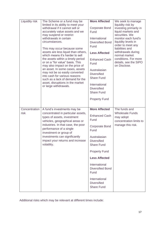| Liquidity risk        | The Scheme or a fund may be<br>limited in its ability to meet your<br>withdrawal if it cannot sell or<br>accurately value assets and we<br>may suspend or restrict<br>withdrawals in certain<br>circumstances.<br>This may occur because some<br>assets are less liquid than others,<br>which means it's harder to sell<br>the assets within a timely period<br>or on a "for value" basis. This<br>may also impact on the price of<br>an asset. In some cases, assets<br>may not be so easily converted<br>into cash for various reasons<br>such as a lack of demand for the<br>asset, disruptions in the market<br>or large withdrawals. | <b>More Affected</b><br><b>Corporate Bond</b><br>Fund<br>International<br><b>Diversified Bond</b><br>Fund<br><b>Less Affected</b><br><b>Enhanced Cash</b><br>Fund<br>Australasian<br><b>Diversified</b><br><b>Share Fund</b><br>International<br><b>Diversified</b><br><b>Share Fund</b><br><b>Property Fund</b> | We seek to manage<br>liquidity risk by<br>investing primarily in<br>liquid markets and<br>securities. We<br>monitor each fund's<br>liquidity levels in<br>order to meet any<br>liabilities and<br>withdrawals during<br>normal market<br>conditions. For more<br>details, see the SIPO<br>on Disclose. |
|-----------------------|-------------------------------------------------------------------------------------------------------------------------------------------------------------------------------------------------------------------------------------------------------------------------------------------------------------------------------------------------------------------------------------------------------------------------------------------------------------------------------------------------------------------------------------------------------------------------------------------------------------------------------------------|------------------------------------------------------------------------------------------------------------------------------------------------------------------------------------------------------------------------------------------------------------------------------------------------------------------|--------------------------------------------------------------------------------------------------------------------------------------------------------------------------------------------------------------------------------------------------------------------------------------------------------|
| Concentration<br>risk | A fund's investments may be<br>concentrated in particular assets,<br>types of assets, investment<br>vehicles, geographical areas or<br>industries. In that case, the poor<br>performance of a single<br>investment or group of<br>investments can significantly<br>impact your returns and increase<br>volatility.                                                                                                                                                                                                                                                                                                                        | <b>More Affected</b><br><b>Enhanced Cash</b><br>Fund<br><b>Corporate Bond</b><br>Fund<br>Australasian<br><b>Diversified</b><br><b>Share Fund</b><br><b>Property Fund</b><br><b>Less Affected</b><br>International<br><b>Diversified Bond</b><br>Fund<br>International<br><b>Diversified</b><br><b>Share Fund</b> | The funds and<br><b>Wholesale Funds</b><br>may adopt<br>concentration limits to<br>manage this risk.                                                                                                                                                                                                   |

Additional risks which may be relevant at different times include: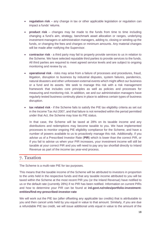- **regulation risk** any change in tax or other applicable legislation or regulation can impact a funds' returns.
- **product risk** changes may be made to the funds from time to time including changing a fund's aim, strategy, benchmark asset allocation or ranges, underlying investment managers or administration managers, adding to, closing or winding up the funds, or changing the fees and charges or minimum amounts. Any material changes will be made after notifying the Supervisor.
- **contractor risk** a third party may fail to properly provide services to us in relation to the Scheme. We have selected reputable third parties to provide services to the funds. All third parties are required to meet agreed service levels and are subject to ongoing monitoring and review by us.
- **operational risk** risks may arise from a failure of processes and procedures, fraud, litigation, disruption to business by industrial disputes, system failures, pandemics, natural disasters and other unforeseen external events which might affect our business or a fund and its assets. We seek to manage this risk with a risk management framework that includes core principles as well as policies and processes for measuring and monitoring risk. In addition, we and our administration managers have regularly tested business continuity plans in place to address certain types of business disruption.
- **tax related risk** if the Scheme fails to satisfy the PIE tax eligibility criteria as set out in the Income Tax Act 2007, and that failure is not remedied within the period permitted under that Act, the Scheme may lose its PIE status.

In that case, the Scheme will be taxed at 28% on its taxable income and any distributions and redemptions may become taxable to you. We have implemented processes to monitor ongoing PIE eligibility compliance for the Scheme, and have a number of powers available to us to proactively manage this risk. Additionally, if you advise us of a Prescribed Investor Rate (**PIR**) which is lower than the correct PIR, or if you fail to advise us when your PIR increases, your investment income will still be taxable at your correct PIR and you will need to pay any tax shortfall directly to Inland Revenue as part of the income tax year-end process.

## 7. Taxation

The Scheme is a multi-rate PIE for tax purposes.

This means that the taxable income of the Scheme will be attributed to investors in proportion to the units held in the respective funds and that any taxable income attributed to you will be taxed within the Scheme at the most recent PIR you (or the Inland Revenue) have notified to us or the default rate (currently 28%) if no PIR has been notified. Information on current PIRs and how to determine your PIR can be found at **ird.govt.nz/roles/portfolio-investmententities/find-my-prescribed-investor-rate**

We will work out the PIE tax (after offsetting any applicable tax credits) that is attributable to you and then cancel units held by you equal in value to that amount. Similarly, if you are due a refundable PIE tax credit, we will issue additional units equal in value to the amount of the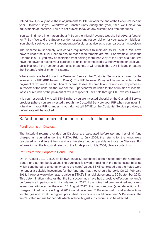refund. We'll usually make these adjustments for PIE tax after the end of the Scheme's income year. However, if you withdraw or transfer units during the year, then we'll make tax adjustments at that time. You are not subject to tax on any distributions from the funds.

You can find more information about PIEs on the Inland Revenue website **[ird.govt.nz](http://www.ird.govt.nz/)** (search for 'PIEs'). We and the Supervisor do not take any responsibility for your taxation liabilities. You should seek your own independent professional advice as to your particular tax position.

The Scheme must comply with certain requirements to maintain its PIE status. We have powers under the Trust Deed to ensure those requirements are met. For example, while the Scheme is a PIE you may be restricted from holding more than 20% of the units of a fund. We have the power to restrict your purchase of units, or compulsorily withdraw some or all of your units, in a fund if the number of your units breaches, or will breach, that 20% limit and threatens the Scheme's eligibility for PIE status.

Where units are held through a Custodial Service, the Custodial Service is a proxy for the investor in a PIE (**PIE Investor Proxy**). The PIE Investor Proxy will be responsible for the payment of tax, and the attribution of income, losses, tax credits and refunds for tax purposes, in respect of the units. Neither we nor the Supervisor will be liable for the attribution of income, losses or refunds or the payment of tax in respect of units held through PIE Investor Proxies.

It is your responsibility to tell BTNZ (where you are invested directly) or the Custodial Service provider (where you are invested through the Custodial Service) your PIR when you invest in a fund or if your PIR changes. If you do not tell BTNZ or the Custodial Service provider, a default rate will be applied.

## 8. Additional information on returns for the funds

#### Fund returns on Disclose

The historical returns provided on Disclose are calculated before tax and net of all fund charges as required under the FMCA. Prior to July 2004, the returns for the funds were calculated on a different basis and are therefore not comparable to those on Disclose. For information on the historical returns of the funds prior to July 2004, please contact us.

#### Returns for the Corporate Bond Fund

On 14 August 2012 BTNZ, (in its own capacity) purchased certain notes from the Corporate Bond Fund at their book value. The purchase followed a decline in the notes' asset backing which contributed to uncertainty as to the notes' value. BTNZ concluded that the notes were no longer a suitable investment for the fund and that they should be sold. On 27 February 2013, the notes were given a zero value in BTNZ's financial statements to 30 September 2012. This determination indicates that the transaction may have had a positive effect on the fund's performance in periods which include August 2012. If the notes had been retained and a zero value was attributed to them on 14 August 2012, the funds returns (after deductions for charges but before tax) in August 2012 would have been 7.1% lower (returns after deductions for charges and tax at the highest prescribed investor rate would have been 5.1% lower). The fund's stated returns for periods which include August 2012 would also be affected.